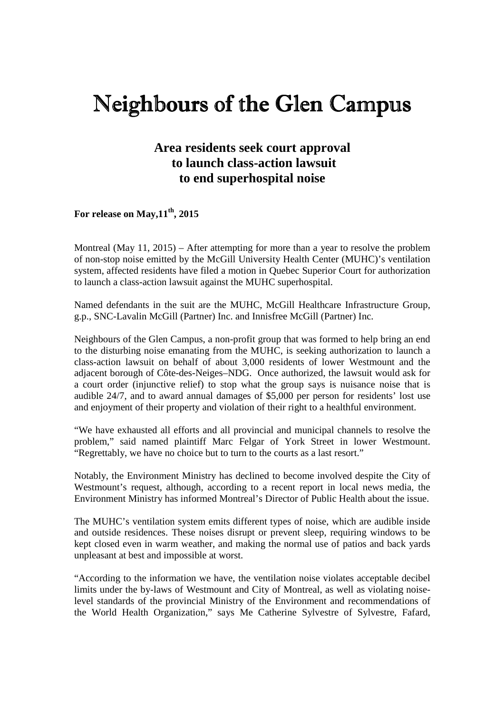## Neighbours of the Glen Campus

## **Area residents seek court approval to launch class-action lawsuit to end superhospital noise**

## **For release on May,11th, 2015**

Montreal (May 11, 2015) – After attempting for more than a year to resolve the problem of non-stop noise emitted by the McGill University Health Center (MUHC)'s ventilation system, affected residents have filed a motion in Quebec Superior Court for authorization to launch a class-action lawsuit against the MUHC superhospital.

Named defendants in the suit are the MUHC, McGill Healthcare Infrastructure Group, g.p., SNC-Lavalin McGill (Partner) Inc. and Innisfree McGill (Partner) Inc.

Neighbours of the Glen Campus, a non-profit group that was formed to help bring an end to the disturbing noise emanating from the MUHC, is seeking authorization to launch a class-action lawsuit on behalf of about 3,000 residents of lower Westmount and the adjacent borough of Côte-des-Neiges–NDG. Once authorized, the lawsuit would ask for a court order (injunctive relief) to stop what the group says is nuisance noise that is audible 24/7, and to award annual damages of \$5,000 per person for residents' lost use and enjoyment of their property and violation of their right to a healthful environment.

"We have exhausted all efforts and all provincial and municipal channels to resolve the problem," said named plaintiff Marc Felgar of York Street in lower Westmount. "Regrettably, we have no choice but to turn to the courts as a last resort."

Notably, the Environment Ministry has declined to become involved despite the City of Westmount's request, although, according to a recent report in local news media, the Environment Ministry has informed Montreal's Director of Public Health about the issue.

The MUHC's ventilation system emits different types of noise, which are audible inside and outside residences. These noises disrupt or prevent sleep, requiring windows to be kept closed even in warm weather, and making the normal use of patios and back yards unpleasant at best and impossible at worst.

"According to the information we have, the ventilation noise violates acceptable decibel limits under the by-laws of Westmount and City of Montreal, as well as violating noiselevel standards of the provincial Ministry of the Environment and recommendations of the World Health Organization," says Me Catherine Sylvestre of Sylvestre, Fafard,